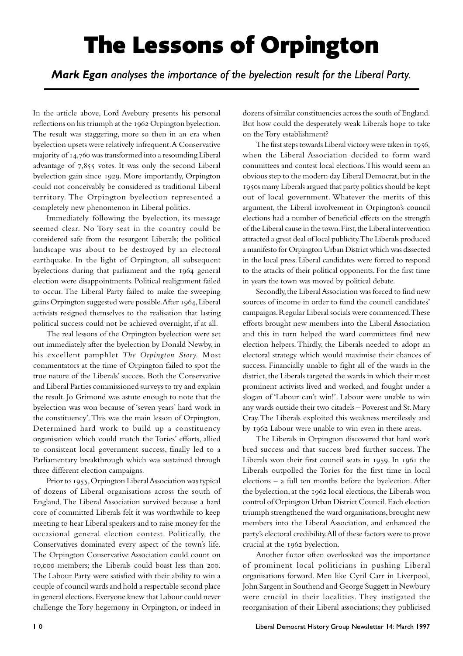## The Lessons of Orpington

Mark Egan analyses the importance of the byelection result for the Liberal Party.

In the article above, Lord Avebury presents his personal reflections on his triumph at the 1962 Orpington byelection. The result was staggering, more so then in an era when byelection upsets were relatively infrequent. A Conservative majority of 14,760 was transformed into a resounding Liberal advantage of  $7,855$  votes. It was only the second Liberal byelection gain since 1929. More importantly, Orpington could not conceivably be considered as traditional Liberal territory. The Orpington byelection represented a completely new phenomenon in Liberal politics.

Immediately following the byelection, its message seemed clear. No Tory seat in the country could be considered safe from the resurgent Liberals; the political landscape was about to be destroyed by an electoral earthquake. In the light of Orpington, all subsequent byelections during that parliament and the 1964 general election were disappointments. Political realignment failed to occur. The Liberal Party failed to make the sweeping gains Orpington suggested were possible. After 1964, Liberal activists resigned themselves to the realisation that lasting political success could not be achieved overnight, if at all.

The real lessons of the Orpington byelection were set out immediately after the byelection by Donald Newby, in his excellent pamphlet *The Orpington Story.* Most commentators at the time of Orpington failed to spot the true nature of the Liberals' success. Both the Conservative and Liberal Parties commissioned surveys to try and explain the result. Jo Grimond was astute enough to note that the byelection was won because of 'seven years' hard work in the constituency'. This was the main lesson of Orpington. Determined hard work to build up a constituency organisation which could match the Tories' efforts, allied to consistent local government success, finally led to a Parliamentary breakthrough which was sustained through three different election campaigns.

Prior to 1955, Orpington Liberal Association was typical of dozens of Liberal organisations across the south of England. The Liberal Association survived because a hard core of committed Liberals felt it was worthwhile to keep meeting to hear Liberal speakers and to raise money for the occasional general election contest. Politically, the Conservatives dominated every aspect of the town's life. The Orpington Conservative Association could count on 10,000 members; the Liberals could boast less than 200. The Labour Party were satisfied with their ability to win a couple of council wards and hold a respectable second place in general elections. Everyone knew that Labour could never challenge the Tory hegemony in Orpington, or indeed in

dozens of similar constituencies across the south of England. But how could the desperately weak Liberals hope to take on the Tory establishment?

The first steps towards Liberal victory were taken in 1956, when the Liberal Association decided to form ward committees and contest local elections. This would seem an obvious step to the modern day Liberal Democrat, but in the 1950s many Liberals argued that party politics should be kept out of local government. Whatever the merits of this argument, the Liberal involvement in Orpington's council elections had a number of beneficial effects on the strength of the Liberal cause in the town. First, the Liberal intervention attracted a great deal of local publicity. The Liberals produced a manifesto for Orpington Urban District which was dissected in the local press. Liberal candidates were forced to respond to the attacks of their political opponents. For the first time in years the town was moved by political debate.

Secondly, the Liberal Association was forced to find new sources of income in order to fund the council candidates' campaigns. Regular Liberal socials were commenced. These efforts brought new members into the Liberal Association and this in turn helped the ward committees find new election helpers. Thirdly, the Liberals needed to adopt an electoral strategy which would maximise their chances of success. Financially unable to fight all of the wards in the district, the Liberals targeted the wards in which their most prominent activists lived and worked, and fought under a slogan of 'Labour can't win!'. Labour were unable to win any wards outside their two citadels – Poverest and St. Mary Cray. The Liberals exploited this weakness mercilessly and by 1962 Labour were unable to win even in these areas.

The Liberals in Orpington discovered that hard work bred success and that success bred further success. The Liberals won their first council seats in  $1959$ . In  $1961$  the Liberals outpolled the Tories for the first time in local elections – a full ten months before the byelection. After the byelection, at the 1962 local elections, the Liberals won control of Orpington Urban District Council. Each election triumph strengthened the ward organisations, brought new members into the Liberal Association, and enhanced the party's electoral credibility. All of these factors were to prove crucial at the 1962 byelection.

Another factor often overlooked was the importance of prominent local politicians in pushing Liberal organisations forward. Men like Cyril Carr in Liverpool, John Sargent in Southend and George Suggett in Newbury were crucial in their localities. They instigated the reorganisation of their Liberal associations; they publicised